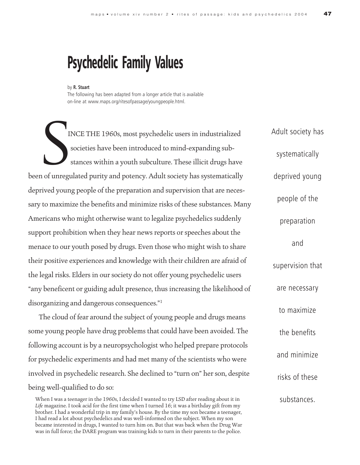# Psychedelic Family Values

#### by **R. Stuart**

The following has been adapted from a longer article that is available on-line at www.maps.org/ritesofpassage/youngpeople.html.

| r inte at www.maps.org/ntesorpassage/youngpeople.mini.                                                                                                    |                   |
|-----------------------------------------------------------------------------------------------------------------------------------------------------------|-------------------|
| INCE THE 1960s, most psychedelic users in industrialized                                                                                                  | Adult society has |
| societies have been introduced to mind-expanding sub-<br>stances within a youth subculture. These illicit drugs have                                      | systematically    |
| been of unregulated purity and potency. Adult society has systematically                                                                                  | deprived young    |
| deprived young people of the preparation and supervision that are neces-<br>sary to maximize the benefits and minimize risks of these substances. Many    | people of the     |
| Americans who might otherwise want to legalize psychedelics suddenly<br>support prohibition when they hear news reports or speeches about the             | preparation       |
| menace to our youth posed by drugs. Even those who might wish to share                                                                                    | and               |
| their positive experiences and knowledge with their children are afraid of<br>the legal risks. Elders in our society do not offer young psychedelic users | supervision that  |
| "any beneficent or guiding adult presence, thus increasing the likelihood of                                                                              | are necessary     |
| disorganizing and dangerous consequences." <sup>1</sup><br>The cloud of fear around the subject of young people and drugs means                           | to maximize       |
| some young people have drug problems that could have been avoided. The                                                                                    | the benefits      |

some young people have drug problems that could have been avoided. The following account is by a neuropsychologist who helped prepare protocols for psychedelic experiments and had met many of the scientists who were involved in psychedelic research. She declined to "turn on" her son, despite being well-qualified to do so:

When I was a teenager in the 1960s, I decided I wanted to try LSD after reading about it in substances. *Life* magazine. I took acid for the first time when I turned 16; it was a birthday gift from my brother. I had a wonderful trip in my family's house. By the time my son became a teenager, I had read a lot about psychedelics and was well-informed on the subject. When my son became interested in drugs, I wanted to turn him on. But that was back when the Drug War was in full force; the DARE program was training kids to turn in their parents to the police.

and minimize

risks of these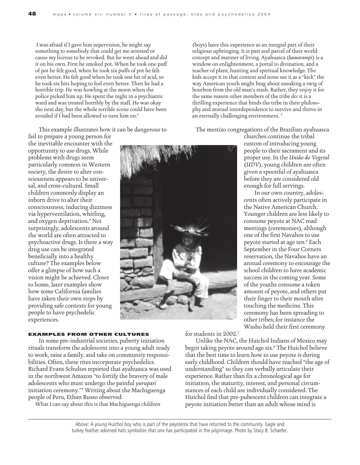I was afraid if I gave him supervision, he might say something to somebody that could get me arrested or cause my license to be revoked. But he went ahead and did it on his own. First he smoked pot. When he took one puff of pot he felt good, when he took six puffs of pot he felt even better. He felt good when he took one hit of acid, so he took six hits hoping to feel even better. Then he had a horrible trip. He was howling at the moon when the police picked him up. He spent the night in a psychiatric ward and was treated horribly by the staff. He was okay the next day, but the whole terrible scene could have been avoided if I had been allowed to turn him on.2

This example illustrates how it can be dangerous to

fail to prepare a young person for the inevitable encounter with the opportunity to use drugs. While problems with drugs seem particularly common in Western society, the desire to alter consciousness appears to be universal, and cross-cultural. Small children commonly display an inborn drive to alter their consciousness, inducing dizziness via hyperventilation, whirling, and oxygen deprivation.3 Not surprisingly, adolescents around the world are often attracted to psychoactive drugs. Is there a way drug use can be integrated beneficially into a healthy culture? The examples below offer a glimpse of how such a vision might be achieved. Closer to home, later examples show how some California families have taken their own steps by providing safe contexts for young people to have psychedelic experiences.



#### EXAMPLES FROM OTHER CULTURES

In some pre-industrial societies, puberty initiation rituals transform the adolescent into a young adult ready to work, raise a family, and take on community responsibilities. Often, these rites incorporate psychedelics. Richard Evans Schultes reported that ayahuasca was used in the northwest Amazon "to fortify the bravery of male adolescents who must undergo the painful *yuruparí* initiation ceremony."4 Writing about the Machiguenga people of Peru, Ethan Russo observed:

What I can say about this is that Machiguenga children

Unlike the NAC, the Huichol Indians of Mexico may

for students in 2002.<sup>7</sup>

begin taking peyote around age six.8 The Huichol believe that the best time to learn how to use peyote is during early childhood. Children should have reached "the age of understanding" so they can verbally articulate their experience. Rather than fix a chronological age for initiation, the maturity, interest, and personal circumstances of each child are individually considered. The Huichol find that pre-pubescent children can integrate a peyote initiation better than an adult whose mind is

Above: A young Huichol boy who is part of the peyoteros that have returned to the community. Eagle and turkey feather adorned hats symbolize that one has participated in the pilgrimage. Photo by Stacy B. Schaefer.

(boys) have this experience as an integral part of their religious upbringing. It is part and parcel of their world concept and manner of living. Ayahuasca (*kamarampi*) is a window on enlightenment, a portal to divination, and a teacher of plant, hunting and spiritual knowledge. The kids accept it in that context and none see it as a "kick" the way American youth might brag about sneaking a swig of bourbon from the old man's stash. Rather, they enjoy it for the same reason other members of the tribe do: it is a thrilling experience that binds the tribe in their philosophy and mutual interdependence to survive and thrive in an eternally challenging environment. 5

The mestizo congregations of the Brazilian ayahuasca

churches continue the tribal custom of introducing young people to their sacrament and its proper use. In the *União do Vegetal* (*UDV*), young children are often given a spoonful of ayahuasca before they are considered old enough for full servings.

In our own country, adolescents often actively participate in the Native American Church. Younger children are less likely to consume peyote at NAC road meetings (ceremonies), although one of the first Navahos to use peyote started at age ten.6 Each September in the Four Corners reservation, the Navahos have an annual ceremony to encourage the school children to have academic success in the coming year. Some of the youths consume a token amount of peyote, and others put their finger to their mouth after touching the medicine. This ceremony has been spreading to other tribes; for instance the Washo held their first ceremony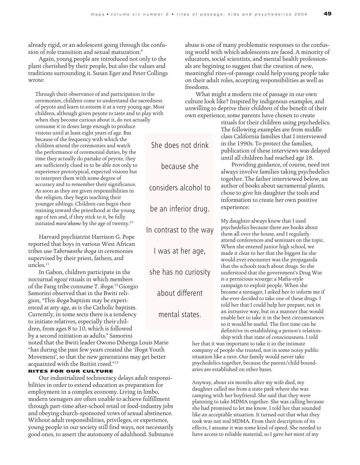because she

I was at her age,

already rigid, or an adolescent going through the confusion of role transition and sexual maturation.<sup>9</sup>

Again, young people are introduced not only to the plant cherished by their people, but also the values and traditions surrounding it. Susan Eger and Peter Collings wrote:

Through their observance of and participation in the ceremonies, children come to understand the sacredness of peyote and learn to esteem it at a very young age. Most children, although given peyote to taste and to play with when they become curious about it, do not actually consume it in doses large enough to produce visions until at least eight years of age. But because of the frequency with which the children attend the ceremonies and watch the performance of ceremonial duties, by the time they actually do partake of peyote, they are sufficiently clued in to be able not only to experience prototypical, expected visions but to interpret them with some degree of accuracy and to remember their significance. As soon as they are given responsibilities in the religion, they begin teaching their younger siblings. Children can begin their training toward the priesthood at the young age of ten and, if they stick to it, be fully initiated *mara'akame* by the age of twenty.10 She does not drink considers alcohol to be an inferior drug. In contrast to the way

Harvard psychiatrist Harrison G. Pope reported that boys in various West African tribes use *Tabernanthe iboga* in ceremonies supervised by their priest, fathers, and uncles.11

In Gabon, children participate in the nocturnal *ngozé* rituals in which members of the Fang tribe consume *T. iboga*. 12 Giorgio Samorini observed that in the Bwiti religion, "This *iboga* baptism may be experienced at any age, as is the Catholic baptism. Currently, in some sects there is a tendency to initiate relatives, especially their children, from ages 8 to 10, which is followed by a second initiation as adults." Samorini noted that the Bwiti leader Owono Dibenga Louis Marie "has during the past few years created the '*Iboga* Youth Movement', so that the new generations may get better acquainted with the Buitist creed."13 she has no curiosity about different mental states.

## RITES FOR OUR CULTURE

Our industrialized technocracy delays adult responsibilities in order to extend education as preparation for employment in a complex economy. Living in limbo, modern teenagers are often unable to achieve fulfillment through part-time after-school retail or food-industry jobs and obeying church-sponsored vows of sexual abstinence. Without adult responsibilities, privileges, or experience, young people in our society still find ways, not necessarily good ones, to assert the autonomy of adulthood. Substance abuse is one of many problematic responses to the confusing world with which adolescents are faced. A minority of educators, social scientists, and mental health professionals are begining to suggest that the creation of new, meaningful rites-of-passage could help young people take on their adult roles, accepting responsibilities as well as freedoms.

What might a modern rite of passage in our own culture look like? Inspired by indigenous examples, and unwilling to deprive their children of the benefit of their own experience, some parents have chosen to create

> rituals for their children using psychedelics. The following examples are from middle class California families that I interviewed in the 1990s. To protect the families, publication of these interviews was delayed until all children had reached age 18.

> Providing guidance, of course, need not always involve families taking psychedelics together. The father interviewed below, an author of books about sacramental plants, chose to give his daughter the tools and information to create her own positive experience:

My daughter always knew that I used psychedelics because there are books about them all over the house, and I regularly attend conferences and seminars on the topic. When she entered junior high school, we made it clear to her that the biggest lie she would ever encounter was the propaganda that the schools teach about drugs. So she understood that the government's Drug War is a pernicious scourge: a Mafia-style campaign to exploit people. When she became a teenager, I asked her to inform me if she ever decided to take one of these drugs. I told her that I could help her prepare, not in an intrusive way, but in a manner that would enable her to take it in the best circumstances so it would be useful. The first time can be definitive in establishing a person's relationship with that state of consciousness. I told

her that it was important to take it in the intimate company of people she trusted, not in some noisy public situation like a rave. Our family would never take psychedelics together, because the parent/child boundaries are established on other bases.

Anyway, about six months after my wife died, my daughter called me from a state park where she was camping with her boyfriend. She said that they were planning to take MDMA together. She was calling because she had promised to let me know. I told her that sounded like an acceptable situation. It turned out that what they took was not real MDMA. From their description of its effects, I assume it was some kind of speed. She needed to have access to reliable material, so I gave her most of my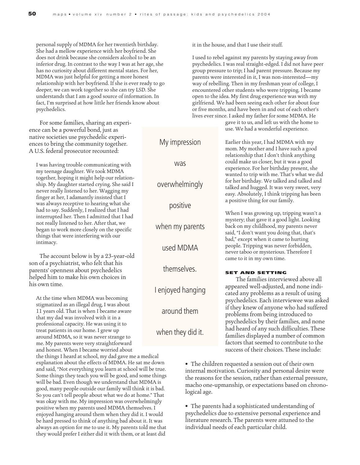personal supply of MDMA for her twentieth birthday. She had a mellow experience with her boyfriend. She does not drink because she considers alcohol to be an inferior drug. In contrast to the way I was at her age, she has no curiosity about different mental states. For her, MDMA was just helpful for getting a more honest relationship with her boyfriend. If she is ever ready to go deeper, we can work together so she can try LSD. She understands that I am a good source of information. In fact, I'm surprised at how little her friends know about psychedelics.

For some families, sharing an experience can be a powerful bond, just as native societies use psychedelic experiences to bring the community together. A U.S. federal prosecutor recounted:

I was having trouble communicating with my teenage daughter. We took MDMA together, hoping it might help our relationship. My daughter started crying. She said I never really listened to her. Wagging my finger at her, I adamantly insisted that I was always receptive to hearing what she had to say. Suddenly, I realized that I had interrupted her. Then I admitted that I had not really listened to her. After that, we began to work more closely on the specific things that were interfering with our intimacy.

The account below is by a 23-year-old son of a psychiatrist, who felt that his parents' openness about psychedelics helped him to make his own choices in his own time.

At the time when MDMA was becoming stigmatized as an illegal drug, I was about 11 years old. That is when I became aware that my dad was involved with it in a professional capacity. He was using it to treat patients in our home. I grew up around MDMA, so it was never strange to me. My parents were very straightforward and honest. When I became worried about the things I heard at school, my dad gave me a medical explanation about the effects of MDMA. He sat me down and said, "Not everything you learn at school will be true. Some things they teach you will be good, and some things will be bad. Even though we understand that MDMA is good, many people outside our family will think it is bad. So you can't tell people about what we do at home." That was okay with me. My impression was overwhelmingly positive when my parents used MDMA themselves. I enjoyed hanging around them when they did it. I would be hard pressed to think of anything bad about it. It was always an option for me to use it. My parents told me that they would prefer I either did it with them, or at least did

it in the house, and that I use their stuff.

I used to rebel against my parents by staying away from psychedelics. I was real straight-edged. I did not have peer group pressure to trip; I had parent pressure. Because my parents were interested in it, I was non-interested—my way of rebelling. Then in my freshman year of college, I encountered other students who were tripping. I became open to the idea. My first drug experience was with my girlfriend. We had been seeing each other for about four or five months, and have been in and out of each other's lives ever since. I asked my father for some MDMA. He

> gave it to us, and left us with the home to use. We had a wonderful experience.

My impression was overwhelmingly positive when my parents used MDMA themselves. I enjoyed hanging around them when they did it. Earlier this year, I had MDMA with my mom. My mother and I have such a good relationship that I don't think anything could make us closer, but it was a good experience. For her birthday present, she wanted to trip with me. That's what we did for her birthday. We talked and talked and talked and hugged. It was very sweet, very easy. Absolutely, I think tripping has been a positive thing for our family. When I was growing up, tripping wasn't a mystery; that gave it a good light. Looking back on my childhood, my parents never said, "I don't want you doing that, that's bad," except when it came to hurting people. Tripping was never forbidden, never taboo or mysterious. Therefore I came to it in my own time. SET AND SETTING The families interviewed above all appeared well-adjusted, and none indicated any problems as a result of using psychedelics. Each interviewee was asked if they knew of anyone who had suffered problems from being introduced to psychedelics by their families, and none had heard of any such difficulties. These families displayed a number of common factors that seemed to contribute to the success of their choices. These include: • The children requested a session out of their own internal motivation. Curiosity and personal desire were the reasons for the session, rather than external pressure,

> • The parents had a sophisticated understanding of psychedelics due to extensive personal experience and literature research. The parents were attuned to the individual needs of each particular child.

macho one-upmanship, or expectations based on chrono-

logical age.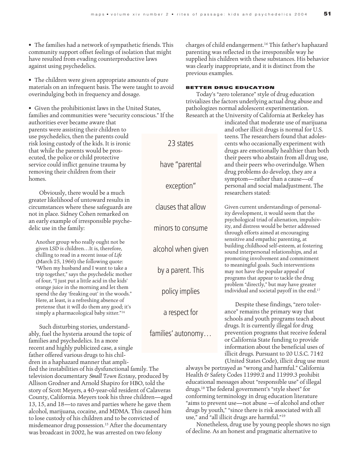• The families had a network of sympathetic friends. This community support offset feelings of isolation that might have resulted from evading counterproductive laws against using psychedelics.

• The children were given appropriate amounts of pure materials on an infrequent basis. The were taught to avoid overindulging both in frequency and dosage.

• Given the prohibitionist laws in the United States, families and communities were "security conscious." If the authorities ever became aware that parents were assisting their children to use psychedelics, then the parents could risk losing custody of the kids. It is ironic that while the parents would be prosecuted, the police or child protective service could inflict genuine trauma by removing their children from their homes.

Obviously, there would be a much greater likelihood of untoward results in circumstances where these safeguards are not in place. Sidney Cohen remarked on an early example of irresponsible psychedelic use in the family:

Another group who really ought not be given LSD is children…It is, therefore, chilling to read in a recent issue of *Life* (March 25, 1966) the following quote: "When my husband and I want to take a trip together," says the psychedelic mother of four, "I just put a little acid in the kids' orange juice in the morning and let them spend the day 'freaking out' in the woods." Here, at least, is a refreshing absence of pretense that it will do them any good; it's simply a pharmacological baby sitter."14

Such disturbing stories, understandably, fuel the hysteria around the topic of families and psychedelics. In a more recent and highly publicized case, a single father offered various drugs to his children in a haphazard manner that amplified the instabilities of his dysfunctional family. The television documentary S*mall Town Ecstasy*, produced by Allison Grodner and Arnold Shapiro for HBO, told the story of Scott Meyers, a 40-year-old resident of Calaveras County, California. Meyers took his three children—aged 13, 15, and 18—to raves and parties where he gave them alcohol, marijuana, cocaine, and MDMA. This caused him to lose custody of his children and to be convicted of misdemeanor drug possession.<sup>15</sup> After the documentary was broadcast in 2002, he was arrested on two felony

charges of child endangerment.16 This father's haphazard parenting was reflected in the irresponsible way he supplied his children with these substances. His behavior was clearly inappropriate, and it is distinct from the previous examples.

## BETTER DRUG EDUCATION

Today's "zero tolerance" style of drug education trivializes the factors underlying actual drug abuse and pathologizes normal adolescent experimentation. Research at the University of California at Berkeley has

indicated that moderate use of marijuana and other illicit drugs is normal for U.S. teens. The researchers found that adolescents who occasionally experiment with drugs are emotionally healthier than both their peers who abstain from all drug use, and their peers who overindulge. When drug problems do develop, they are a symptom—rather than a cause—of personal and social maladjustment. The researchers stated:

Given current understandings of personality development, it would seem that the psychological triad of alienation, impulsivity, and distress would be better addressed through efforts aimed at encouraging sensitive and empathic parenting, at building childhood self-esteem, at fostering sound interpersonal relationships, and at promoting involvement and commitment to meaningful goals. Such interventions may not have the popular appeal of programs that appear to tackle the drug problem "directly," but may have greater individual and societal payoff in the end.17

Despite these findings, "zero tolerance" remains the primary way that schools and youth programs teach about drugs. It is currently illegal for drug prevention programs that receive federal or California State funding to provide information about the beneficial uses of illicit drugs. Pursuant to 20 U.S.C. 7142 (United States Code), illicit drug use must

always be portrayed as "wrong and harmful." California Health & Safety Codes 11999.2 and 11999.3 prohibit educational messages about "responsible use" of illegal drugs.18 The federal government's "style sheet" for conforming terminology in drug education literature "aims to prevent use—not abuse —of alcohol and other drugs by youth," "since there is risk associated with all use," and "all illicit drugs are harmful."19

Nonetheless, drug use by young people shows no sign of decline. As an honest and pragmatic alternative to

23 states have "parental exception" clauses that allow minors to consume alcohol when given by a parent. This policy implies a respect for families' autonomy…